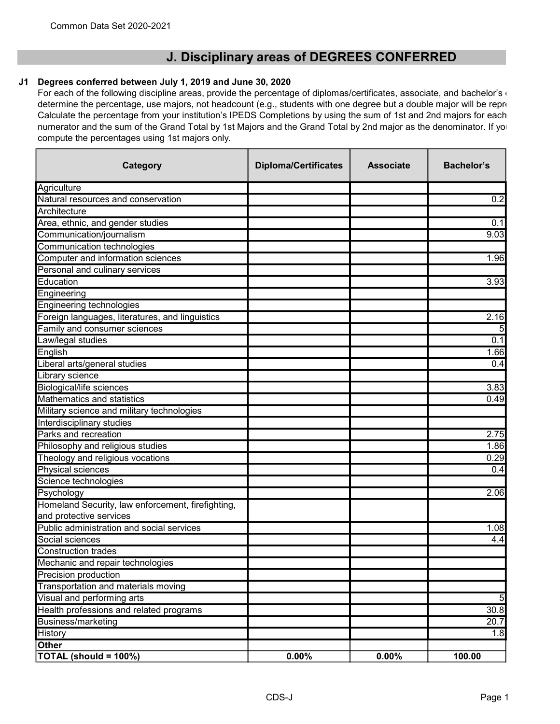## J. Disciplinary areas of DEGREES CONFERRED

## J1 Degrees conferred between July 1, 2019 and June 30, 2020

For each of the following discipline areas, provide the percentage of diplomas/certificates, associate, and bachelor's  $\epsilon$ determine the percentage, use majors, not headcount (e.g., students with one degree but a double major will be repre Calculate the percentage from your institution's IPEDS Completions by using the sum of 1st and 2nd majors for each numerator and the sum of the Grand Total by 1st Majors and the Grand Total by 2nd major as the denominator. If you compute the percentages using 1st majors only.

| Category                                          | <b>Diploma/Certificates</b> | <b>Associate</b> | <b>Bachelor's</b> |
|---------------------------------------------------|-----------------------------|------------------|-------------------|
| Agriculture                                       |                             |                  |                   |
| Natural resources and conservation                |                             |                  | 0.2               |
| Architecture                                      |                             |                  |                   |
| Area, ethnic, and gender studies                  |                             |                  | 0.1               |
| Communication/journalism                          |                             |                  | 9.03              |
| Communication technologies                        |                             |                  |                   |
| Computer and information sciences                 |                             |                  | 1.96              |
| Personal and culinary services                    |                             |                  |                   |
| Education                                         |                             |                  | 3.93              |
| Engineering                                       |                             |                  |                   |
| Engineering technologies                          |                             |                  |                   |
| Foreign languages, literatures, and linguistics   |                             |                  | 2.16              |
| Family and consumer sciences                      |                             |                  |                   |
| Law/legal studies                                 |                             |                  | 0.1               |
| English                                           |                             |                  | 1.66              |
| Liberal arts/general studies                      |                             |                  | 0.4               |
| Library science                                   |                             |                  |                   |
| <b>Biological/life sciences</b>                   |                             |                  | 3.83              |
| Mathematics and statistics                        |                             |                  | 0.49              |
| Military science and military technologies        |                             |                  |                   |
| Interdisciplinary studies                         |                             |                  |                   |
| Parks and recreation                              |                             |                  | 2.75              |
| Philosophy and religious studies                  |                             |                  | 1.86              |
| Theology and religious vocations                  |                             |                  | 0.29              |
| Physical sciences                                 |                             |                  | 0.4               |
| Science technologies                              |                             |                  |                   |
| Psychology                                        |                             |                  | 2.06              |
| Homeland Security, law enforcement, firefighting, |                             |                  |                   |
| and protective services                           |                             |                  |                   |
| Public administration and social services         |                             |                  | 1.08              |
| Social sciences                                   |                             |                  | 4.4               |
| <b>Construction trades</b>                        |                             |                  |                   |
| Mechanic and repair technologies                  |                             |                  |                   |
| Precision production                              |                             |                  |                   |
| Transportation and materials moving               |                             |                  |                   |
| Visual and performing arts                        |                             |                  | 5 <sub>l</sub>    |
| Health professions and related programs           |                             |                  | 30.8              |
| Business/marketing                                |                             |                  | 20.7              |
| History                                           |                             |                  | 1.8               |
| Other                                             |                             |                  |                   |
| TOTAL (should = 100%)                             | 0.00%                       | 0.00%            | 100.00            |